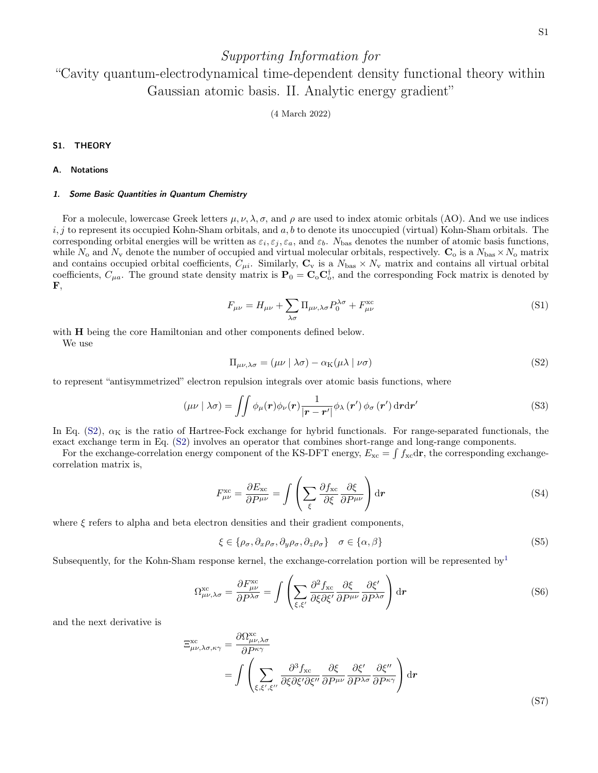# Supporting Information for

# "Cavity quantum-electrodynamical time-dependent density functional theory within Gaussian atomic basis. II. Analytic energy gradient"

(4 March 2022)

#### S1. THEORY

#### A. Notations

#### 1. Some Basic Quantities in Quantum Chemistry

For a molecule, lowercase Greek letters  $\mu, \nu, \lambda, \sigma$ , and  $\rho$  are used to index atomic orbitals (AO). And we use indices  $i, j$  to represent its occupied Kohn-Sham orbitals, and  $a, b$  to denote its unoccupied (virtual) Kohn-Sham orbitals. The corresponding orbital energies will be written as  $\varepsilon_i, \varepsilon_j, \varepsilon_a$ , and  $\varepsilon_b$ . N<sub>bas</sub> denotes the number of atomic basis functions, while  $N_o$  and  $N_v$  denote the number of occupied and virtual molecular orbitals, respectively.  $\mathbf{C}_o$  is a  $N_{\text{bas}} \times N_o$  matrix and contains occupied orbital coefficients,  $C_{\mu i}$ . Similarly,  $\mathbf{C}_{\mathbf{v}}$  is a  $N_{\text{bas}} \times N_{\text{v}}$  matrix and contains all virtual orbital coefficients,  $C_{\mu a}$ . The ground state density matrix is  $\mathbf{P}_0 = \mathbf{C}_0 \mathbf{C}_0^{\dagger}$ , and the corresponding Fock matrix is denoted by  $\mathbf{F}$ ,

$$
F_{\mu\nu} = H_{\mu\nu} + \sum_{\lambda\sigma} \Pi_{\mu\nu,\lambda\sigma} P_0^{\lambda\sigma} + F_{\mu\nu}^{\text{xc}} \tag{S1}
$$

with **H** being the core Hamiltonian and other components defined below. We use

<span id="page-0-0"></span>
$$
\Pi_{\mu\nu,\lambda\sigma} = (\mu\nu \mid \lambda\sigma) - \alpha_{\rm K}(\mu\lambda \mid \nu\sigma)
$$
\n(S2)

to represent "antisymmetrized" electron repulsion integrals over atomic basis functions, where

$$
(\mu\nu \mid \lambda\sigma) = \iint \phi_{\mu}(\mathbf{r}) \phi_{\nu}(\mathbf{r}) \frac{1}{|\mathbf{r} - \mathbf{r}'|} \phi_{\lambda}(\mathbf{r}') \phi_{\sigma}(\mathbf{r}') d\mathbf{r} d\mathbf{r}'
$$
 (S3)

In Eq.  $(S2)$ ,  $\alpha_K$  is the ratio of Hartree-Fock exchange for hybrid functionals. For range-separated functionals, the exact exchange term in Eq. [\(S2\)](#page-0-0) involves an operator that combines short-range and long-range components.

For the exchange-correlation energy component of the KS-DFT energy,  $E_{\text{xc}} = \int f_{\text{xc}} d\mathbf{r}$ , the corresponding exchangecorrelation matrix is,

<span id="page-0-2"></span>
$$
F_{\mu\nu}^{\rm xc} = \frac{\partial E_{\rm xc}}{\partial P^{\mu\nu}} = \int \left( \sum_{\xi} \frac{\partial f_{\rm xc}}{\partial \xi} \frac{\partial \xi}{\partial P^{\mu\nu}} \right) d\mathbf{r}
$$
(S4)

where  $\xi$  refers to alpha and beta electron densities and their gradient components,

$$
\xi \in \{\rho_{\sigma}, \partial_x \rho_{\sigma}, \partial_y \rho_{\sigma}, \partial_z \rho_{\sigma}\} \quad \sigma \in \{\alpha, \beta\}
$$
 (S5)

Subsequently, for the Kohn-Sham response kernel, the exchange-correlation portion will be represented by  $\frac{1}{2}$  $\frac{1}{2}$  $\frac{1}{2}$ 

<span id="page-0-1"></span>
$$
\Omega_{\mu\nu,\lambda\sigma}^{\text{xc}} = \frac{\partial F_{\mu\nu}^{\text{xc}}}{\partial P^{\lambda\sigma}} = \int \left( \sum_{\xi,\xi'} \frac{\partial^2 f_{\text{xc}}}{\partial \xi \partial \xi'} \frac{\partial \xi}{\partial P^{\mu\nu}} \frac{\partial \xi'}{\partial P^{\lambda\sigma}} \right) d\mathbf{r}
$$
(S6)

and the next derivative is

<span id="page-0-3"></span>
$$
\Xi_{\mu\nu,\lambda\sigma,\kappa\gamma}^{\text{xc}} = \frac{\partial \Omega_{\mu\nu,\lambda\sigma}^{\text{xc}}}{\partial P^{\kappa\gamma}} \n= \int \left( \sum_{\xi,\xi',\xi''} \frac{\partial^3 f_{\text{xc}}}{\partial \xi \partial \xi' \partial \xi''} \frac{\partial \xi}{\partial P^{\mu\nu}} \frac{\partial \xi'}{\partial P^{\lambda\sigma}} \frac{\partial \xi''}{\partial P^{\kappa\gamma}} \right) d\mathbf{r}
$$
\n(S7)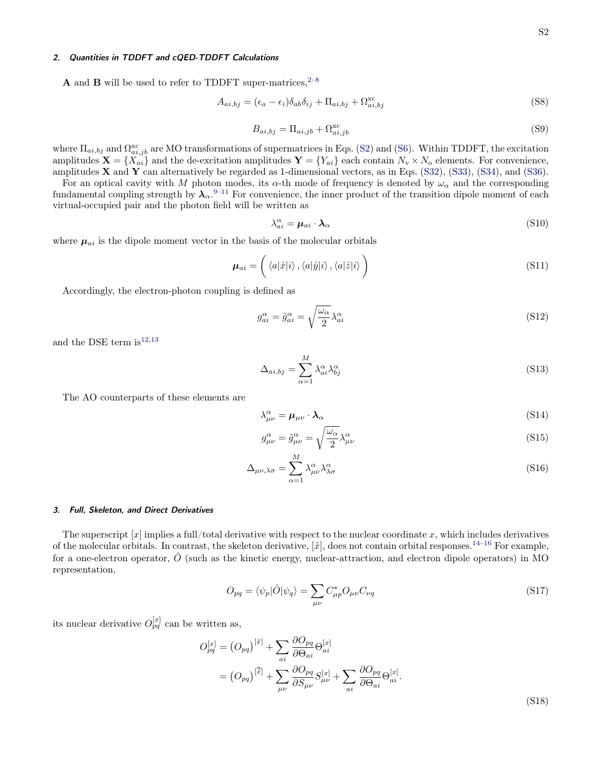#### 2. Quantities in TDDFT and cQED-TDDFT Calculations

**A** and **B** will be used to refer to TDDFT super-matrices,  $2-8$  $2-8$ 

$$
A_{ai,bj} = (\epsilon_a - \epsilon_i)\delta_{ab}\delta_{ij} + \Pi_{ai,bj} + \Omega_{ai,bj}^{\text{xc}}
$$
\n(S8)

$$
B_{ai,bj} = \Pi_{ai,jb} + \Omega_{ai,jb}^{\text{xc}} \tag{S9}
$$

where  $\Pi_{ai,bj}$  and  $\Omega_{ai,jb}^{xc}$  are MO transformations of supermatrices in Eqs. [\(S2\)](#page-0-0) and [\(S6\)](#page-0-1). Within TDDFT, the excitation amplitudes  $\mathbf{X} = \{X_{ai}\}\$ and the de-excitation amplitudes  $\mathbf{Y} = \{Y_{ai}\}\$ each contain  $N_v \times N_o$  elements. For convenience, amplitudes  $X$  and  $Y$  can alternatively be regarded as 1-dimensional vectors, as in Eqs. [\(S32\)](#page-3-0), [\(S33\)](#page-3-1), [\(S34\)](#page-3-1), and [\(S36\)](#page-3-1).

For an optical cavity with M photon modes, its  $\alpha$ -th mode of frequency is denoted by  $\omega_{\alpha}$  and the corresponding fundamental coupling strength by  $\lambda_\alpha$ .<sup>[9](#page-17-3)[–11](#page-17-4)</sup> For convenience, the inner product of the transition dipole moment of each virtual-occupied pair and the photon field will be written as

$$
\lambda_{ai}^{\alpha} = \mu_{ai} \cdot \lambda_{\alpha} \tag{S10}
$$

where  $\mu_{ai}$  is the dipole moment vector in the basis of the molecular orbitals

$$
\boldsymbol{\mu}_{ai} = \left( \langle a|\hat{x}|i\rangle, \langle a|\hat{y}|i\rangle, \langle a|\hat{z}|i\rangle \right) \tag{S11}
$$

Accordingly, the electron-photon coupling is defined as

$$
g_{ai}^{\alpha} = \tilde{g}_{ai}^{\alpha} = \sqrt{\frac{\omega_{\alpha}}{2}} \lambda_{ai}^{\alpha} \tag{S12}
$$

and the DSE term is  $12,13$  $12,13$ 

$$
\Delta_{ai,bj} = \sum_{\alpha=1}^{M} \lambda_{ai}^{\alpha} \lambda_{bj}^{\alpha} \tag{S13}
$$

The AO counterparts of these elements are

<span id="page-1-0"></span>
$$
\lambda^{\alpha}_{\mu\nu} = \mu_{\mu\nu} \cdot \lambda_{\alpha} \tag{S14}
$$

$$
g_{\mu\nu}^{\alpha} = \tilde{g}_{\mu\nu}^{\alpha} = \sqrt{\frac{\omega_{\alpha}}{2}} \lambda_{\mu\nu}^{\alpha} \tag{S15}
$$

$$
\Delta_{\mu\nu,\lambda\sigma} = \sum_{\alpha=1}^{M} \lambda^{\alpha}_{\mu\nu} \lambda^{\alpha}_{\lambda\sigma} \tag{S16}
$$

#### 3. Full, Skeleton, and Direct Derivatives

The superscript  $[x]$  implies a full/total derivative with respect to the nuclear coordinate x, which includes derivatives of the molecular orbitals. In contrast, the skeleton derivative,  $[\tilde{x}]$ , does not contain orbital responses.<sup>[14–](#page-17-7)[16](#page-17-8)</sup> For example, for a one-electron operator,  $\hat{O}$  (such as the kinetic energy, nuclear-attraction, and electron dipole operators) in MO representation,

$$
O_{pq} = \langle \psi_p | \hat{O} | \psi_q \rangle = \sum_{\mu\nu} C_{\mu p}^* O_{\mu\nu} C_{\nu q} \tag{S17}
$$

its nuclear derivative  $O_{pq}^{[x]}$  can be written as,

$$
O_{pq}^{[x]} = (O_{pq})^{[\tilde{x}]} + \sum_{ai} \frac{\partial O_{pq}}{\partial \Theta_{ai}} \Theta_{ai}^{[x]}
$$
  

$$
= (O_{pq})^{[\tilde{x}]} + \sum_{\mu\nu} \frac{\partial O_{pq}}{\partial S_{\mu\nu}} S_{\mu\nu}^{[x]} + \sum_{ai} \frac{\partial O_{pq}}{\partial \Theta_{ai}} \Theta_{ai}^{[x]}.
$$
(S18)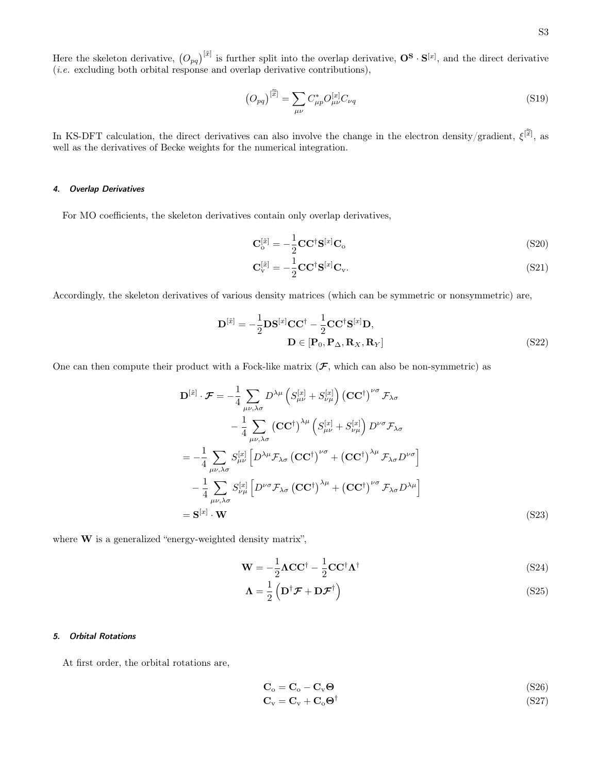Here the skeleton derivative,  $(O_{pq})^{[\tilde{x}]}$  is further split into the overlap derivative,  $\mathbf{O}^{\mathbf{S}} \cdot \mathbf{S}^{[x]}$ , and the direct derivative (i.e. excluding both orbital response and overlap derivative contributions),

$$
\left(O_{pq}\right)^{[\widetilde{x}]} = \sum_{\mu\nu} C_{\mu p}^* O_{\mu\nu}^{[x]} C_{\nu q} \tag{S19}
$$

In KS-DFT calculation, the direct derivatives can also involve the change in the electron density/gradient,  $\xi^{[\tilde{x}]}$ , as well as the derivatives of Becke weights for the numerical integration.

### 4. Overlap Derivatives

For MO coefficients, the skeleton derivatives contain only overlap derivatives,

$$
\mathbf{C}_\mathrm{o}^{[\tilde{x}]} = -\frac{1}{2} \mathbf{C} \mathbf{C}^\dagger \mathbf{S}^{[x]} \mathbf{C}_\mathrm{o}
$$
\n(S20)

$$
\mathbf{C}_{\mathbf{v}}^{[\tilde{x}]} = -\frac{1}{2}\mathbf{C}\mathbf{C}^{\dagger}\mathbf{S}^{[x]}\mathbf{C}_{\mathbf{v}}.\tag{S21}
$$

Accordingly, the skeleton derivatives of various density matrices (which can be symmetric or nonsymmetric) are,

$$
\mathbf{D}^{[\tilde{x}]} = -\frac{1}{2} \mathbf{D} \mathbf{S}^{[x]} \mathbf{C} \mathbf{C}^{\dagger} - \frac{1}{2} \mathbf{C} \mathbf{C}^{\dagger} \mathbf{S}^{[x]} \mathbf{D},
$$
  

$$
\mathbf{D} \in [\mathbf{P}_0, \mathbf{P}_\Delta, \mathbf{R}_X, \mathbf{R}_Y]
$$
(S22)

One can then compute their product with a Fock-like matrix  $(F,$  which can also be non-symmetric) as

$$
\mathbf{D}^{[\tilde{x}]}\cdot\mathcal{F} = -\frac{1}{4}\sum_{\mu\nu,\lambda\sigma} D^{\lambda\mu} \left(S_{\mu\nu}^{[x]} + S_{\nu\mu}^{[x]}\right) (\mathbf{C}\mathbf{C}^{\dagger})^{\nu\sigma} \mathcal{F}_{\lambda\sigma} \n- \frac{1}{4}\sum_{\mu\nu,\lambda\sigma} (\mathbf{C}\mathbf{C}^{\dagger})^{\lambda\mu} \left(S_{\mu\nu}^{[x]} + S_{\nu\mu}^{[x]}\right) D^{\nu\sigma} \mathcal{F}_{\lambda\sigma} \n= -\frac{1}{4}\sum_{\mu\nu,\lambda\sigma} S_{\mu\nu}^{[x]} \left[D^{\lambda\mu} \mathcal{F}_{\lambda\sigma} (\mathbf{C}\mathbf{C}^{\dagger})^{\nu\sigma} + (\mathbf{C}\mathbf{C}^{\dagger})^{\lambda\mu} \mathcal{F}_{\lambda\sigma} D^{\nu\sigma}\right] \n- \frac{1}{4}\sum_{\mu\nu,\lambda\sigma} S_{\nu\mu}^{[x]} \left[D^{\nu\sigma} \mathcal{F}_{\lambda\sigma} (\mathbf{C}\mathbf{C}^{\dagger})^{\lambda\mu} + (\mathbf{C}\mathbf{C}^{\dagger})^{\nu\sigma} \mathcal{F}_{\lambda\sigma} D^{\lambda\mu}\right] \n= \mathbf{S}^{[x]} \cdot \mathbf{W}
$$
\n(S23)

where **W** is a generalized "energy-weighted density matrix",

<span id="page-2-0"></span>
$$
\mathbf{W} = -\frac{1}{2}\mathbf{\Lambda}\mathbf{C}\mathbf{C}^{\dagger} - \frac{1}{2}\mathbf{C}\mathbf{C}^{\dagger}\mathbf{\Lambda}^{\dagger}
$$
 (S24)

$$
\Lambda = \frac{1}{2} \left( \mathbf{D}^{\dagger} \mathcal{F} + \mathbf{D} \mathcal{F}^{\dagger} \right)
$$
 (S25)

#### 5. Orbital Rotations

At first order, the orbital rotations are,

$$
\mathbf{C}_{\mathrm{o}} = \mathbf{C}_{\mathrm{o}} - \mathbf{C}_{\mathrm{v}} \mathbf{\Theta} \tag{S26}
$$

$$
C_{v} = C_{v} + C_{o} \Theta^{\dagger}
$$
 (S27)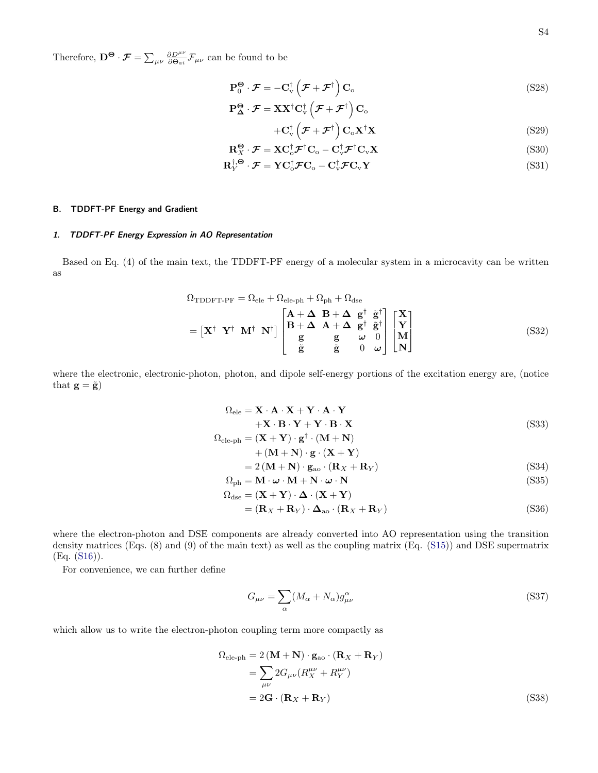Therefore,  $\mathbf{D}^{\mathbf{\Theta}} \cdot \mathbf{\mathcal{F}} = \sum_{\mu\nu} \frac{\partial D^{\mu\nu}}{\partial \Theta_{ai}} \mathbf{\mathcal{F}}_{\mu\nu}$  can be found to be

<span id="page-3-2"></span>
$$
\mathbf{P}_0^{\Theta} \cdot \mathcal{F} = -\mathbf{C}_{\mathrm{v}}^{\dagger} \left( \mathcal{F} + \mathcal{F}^{\dagger} \right) \mathbf{C}_{\mathrm{o}} \tag{S28}
$$

$$
\mathbf{P}^{\boldsymbol{\Theta}}_{\boldsymbol{\Delta}}\cdot\boldsymbol{\mathcal{F}}=\mathbf{XX}^{\dagger}\mathbf{C}_{\mathrm{v}}^{\dagger}\left(\boldsymbol{\mathcal{F}}+\boldsymbol{\mathcal{F}}^{\dagger}\right)\mathbf{C}_{\mathrm{o}}
$$

$$
+ \mathbf{C}_{\mathbf{v}}^{\dagger} \left( \mathcal{F} + \mathcal{F}^{\dagger} \right) \mathbf{C}_{\mathbf{o}} \mathbf{X}^{\dagger} \mathbf{X}
$$
 (S29)

$$
\mathbf{R}_{X}^{\Theta} \cdot \mathcal{F} = \mathbf{X} \mathbf{C}_{\mathrm{o}}^{\dagger} \mathcal{F}^{\dagger} \mathbf{C}_{\mathrm{o}} - \mathbf{C}_{\mathrm{v}}^{\dagger} \mathcal{F}^{\dagger} \mathbf{C}_{\mathrm{v}} \mathbf{X}
$$
\n
$$
\tag{S30}
$$

$$
\mathbf{R}_{Y}^{\dagger,\mathbf{\Theta}} \cdot \mathbf{\mathcal{F}} = \mathbf{Y} \mathbf{C}_{\mathrm{o}}^{\dagger} \mathbf{\mathcal{F}} \mathbf{C}_{\mathrm{o}} - \mathbf{C}_{\mathrm{v}}^{\dagger} \mathbf{\mathcal{F}} \mathbf{C}_{\mathrm{v}} \mathbf{Y}
$$
 (S31)

#### B. TDDFT-PF Energy and Gradient

### 1. TDDFT-PF Energy Expression in AO Representation

Based on Eq. (4) of the main text, the TDDFT-PF energy of a molecular system in a microcavity can be written as

$$
\Omega_{\text{TDDFT-PF}} = \Omega_{\text{ele}} + \Omega_{\text{ele-ph}} + \Omega_{\text{ph}} + \Omega_{\text{dse}}
$$
\n
$$
= [\mathbf{X}^{\dagger} \ \mathbf{Y}^{\dagger} \ \mathbf{M}^{\dagger} \ \mathbf{N}^{\dagger}] \begin{bmatrix} \mathbf{A} + \boldsymbol{\Delta} & \mathbf{B} + \boldsymbol{\Delta} & \mathbf{g}^{\dagger} & \tilde{\mathbf{g}}^{\dagger} \\ \mathbf{B} + \boldsymbol{\Delta} & \mathbf{A} + \boldsymbol{\Delta} & \mathbf{g}^{\dagger} & \tilde{\mathbf{g}}^{\dagger} \\ \mathbf{g} & \mathbf{g} & \boldsymbol{\omega} & 0 \\ \tilde{\mathbf{g}} & \tilde{\mathbf{g}} & 0 & \boldsymbol{\omega} \end{bmatrix} \begin{bmatrix} \mathbf{X} \\ \mathbf{Y} \\ \mathbf{M} \\ \mathbf{N} \end{bmatrix}
$$
\n(S32)

where the electronic, electronic-photon, photon, and dipole self-energy portions of the excitation energy are, (notice that  $\mathbf{g} = \tilde{\mathbf{g}}$ 

<span id="page-3-1"></span><span id="page-3-0"></span>
$$
\Omega_{\text{ele}} = \mathbf{X} \cdot \mathbf{A} \cdot \mathbf{X} + \mathbf{Y} \cdot \mathbf{A} \cdot \mathbf{Y} + \mathbf{X} \cdot \mathbf{B} \cdot \mathbf{Y} + \mathbf{Y} \cdot \mathbf{B} \cdot \mathbf{X}
$$
\n
$$
(S33)
$$

$$
\begin{aligned} \Omega_{\rm ele\textrm{-}ph} &= (\mathbf{X} + \mathbf{Y}) \cdot \mathbf{g}^\dagger \cdot (\mathbf{M} + \mathbf{N}) \\ &+ (\mathbf{M} + \mathbf{N}) \cdot \mathbf{g} \cdot (\mathbf{X} + \mathbf{Y}) \end{aligned}
$$

$$
= 2\left(\mathbf{M} + \mathbf{N}\right) \cdot \mathbf{g}_{\text{ao}} \cdot \left(\mathbf{R}_X + \mathbf{R}_Y\right) \tag{S34}
$$

$$
\Omega_{\rm ph} = \mathbf{M} \cdot \boldsymbol{\omega} \cdot \mathbf{M} + \mathbf{N} \cdot \boldsymbol{\omega} \cdot \mathbf{N}
$$
\n
$$
\Omega_{\rm dse} = (\mathbf{X} + \mathbf{Y}) \cdot \boldsymbol{\Delta} \cdot (\mathbf{X} + \mathbf{Y})
$$
\n(S35)

$$
= (\mathbf{R}_X + \mathbf{R}_Y) \cdot \mathbf{\Delta}_{\text{ao}} \cdot (\mathbf{R}_X + \mathbf{R}_Y) \tag{S36}
$$

where the electron-photon and DSE components are already converted into AO representation using the transition density matrices (Eqs. (8) and (9) of the main text) as well as the coupling matrix (Eq. [\(S15\)](#page-1-0)) and DSE supermatrix (Eq. [\(S16\)](#page-1-0)).

For convenience, we can further define

$$
G_{\mu\nu} = \sum_{\alpha} (M_{\alpha} + N_{\alpha}) g^{\alpha}_{\mu\nu}
$$
 (S37)

which allow us to write the electron-photon coupling term more compactly as

$$
\Omega_{\text{ele-ph}} = 2(\mathbf{M} + \mathbf{N}) \cdot \mathbf{g}_{\text{ao}} \cdot (\mathbf{R}_X + \mathbf{R}_Y)
$$
  
= 
$$
\sum_{\mu\nu} 2G_{\mu\nu} (R_X^{\mu\nu} + R_Y^{\mu\nu})
$$
  
= 
$$
2\mathbf{G} \cdot (\mathbf{R}_X + \mathbf{R}_Y)
$$
 (S38)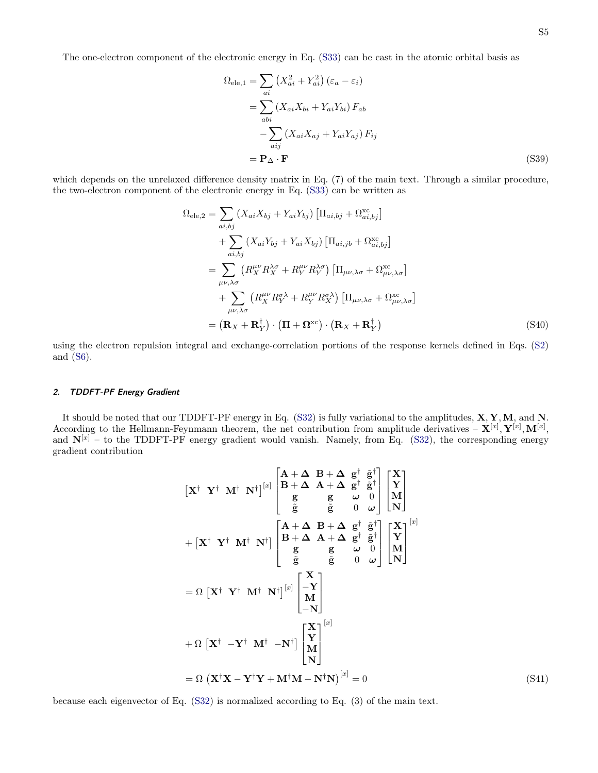The one-electron component of the electronic energy in Eq. [\(S33\)](#page-3-1) can be cast in the atomic orbital basis as

<span id="page-4-0"></span>
$$
\Omega_{\text{ele},1} = \sum_{ai} \left( X_{ai}^2 + Y_{ai}^2 \right) \left( \varepsilon_a - \varepsilon_i \right)
$$
  
= 
$$
\sum_{abi} \left( X_{ai} X_{bi} + Y_{ai} Y_{bi} \right) F_{ab}
$$
  
- 
$$
\sum_{aij} \left( X_{ai} X_{aj} + Y_{ai} Y_{aj} \right) F_{ij}
$$
  
= 
$$
\mathbf{P}_{\Delta} \cdot \mathbf{F}
$$
 (S39)

which depends on the unrelaxed difference density matrix in Eq.  $(7)$  of the main text. Through a similar procedure, the two-electron component of the electronic energy in Eq. [\(S33\)](#page-3-1) can be written as

<span id="page-4-1"></span>
$$
\Omega_{\text{ele},2} = \sum_{ai,bj} (X_{ai}X_{bj} + Y_{ai}Y_{bj}) \left[ \Pi_{ai,bj} + \Omega_{ai,bj}^{\text{xc}} \right]
$$
  
+ 
$$
\sum_{ai,bj} (X_{ai}Y_{bj} + Y_{ai}X_{bj}) \left[ \Pi_{ai,jb} + \Omega_{ai,bj}^{\text{xc}} \right]
$$
  
= 
$$
\sum_{\mu\nu,\lambda\sigma} \left( R_X^{\mu\nu} R_X^{\lambda\sigma} + R_Y^{\mu\nu} R_Y^{\lambda\sigma} \right) \left[ \Pi_{\mu\nu,\lambda\sigma} + \Omega_{\mu\nu,\lambda\sigma}^{\text{xc}} \right]
$$
  
+ 
$$
\sum_{\mu\nu,\lambda\sigma} \left( R_X^{\mu\nu} R_Y^{\sigma\lambda} + R_Y^{\mu\nu} R_X^{\sigma\lambda} \right) \left[ \Pi_{\mu\nu,\lambda\sigma} + \Omega_{\mu\nu,\lambda\sigma}^{\text{xc}} \right]
$$
  
= 
$$
(\mathbf{R}_X + \mathbf{R}_Y^{\dagger}) \cdot (\mathbf{\Pi} + \mathbf{\Omega}^{\text{xc}}) \cdot (\mathbf{R}_X + \mathbf{R}_Y^{\dagger})
$$
 (S40)

using the electron repulsion integral and exchange-correlation portions of the response kernels defined in Eqs. [\(S2\)](#page-0-0) and [\(S6\)](#page-0-1).

### 2. TDDFT-PF Energy Gradient

It should be noted that our TDDFT-PF energy in Eq. [\(S32\)](#page-3-0) is fully variational to the amplitudes, X, Y,M, and N. According to the Hellmann-Feynmann theorem, the net contribution from amplitude derivatives  $-\mathbf{X}^{[x]}, \mathbf{Y}^{[x]}, \mathbf{M}^{[x]},$ and  $N^{[x]}$  – to the TDDFT-PF energy gradient would vanish. Namely, from Eq. [\(S32\)](#page-3-0), the corresponding energy gradient contribution

$$
\begin{aligned}\n\begin{bmatrix}\n\mathbf{X}^{\dagger} & \mathbf{Y}^{\dagger} & \mathbf{M}^{\dagger} & \mathbf{N}^{\dagger}\n\end{bmatrix}^{[x]} \begin{bmatrix}\n\mathbf{A} + \Delta & \mathbf{B} + \Delta & \mathbf{g}^{\dagger} & \mathbf{\tilde{g}}^{\dagger} \\
\mathbf{B} + \Delta & \mathbf{A} + \Delta & \mathbf{g}^{\dagger} & \mathbf{\tilde{g}}^{\dagger} \\
\mathbf{g} & \mathbf{g} & \omega & 0 \\
\mathbf{g} & \mathbf{g} & \omega & 0 \\
\mathbf{g} & \mathbf{g} & \omega & 0 \\
\mathbf{g} & \mathbf{g} & \omega & 0 \\
\mathbf{g} & \mathbf{g} & \omega & 0 \\
\mathbf{g} & \mathbf{g} & \omega & 0 \\
\mathbf{g} & \mathbf{g} & \omega & 0 \\
\mathbf{g} & \mathbf{g} & \omega & 0 \\
\mathbf{g} & \mathbf{g} & \omega & 0 \\
\mathbf{M}\n\end{bmatrix} \begin{bmatrix}\n\mathbf{X} \\
\mathbf{Y} \\
\mathbf{N}\n\end{bmatrix} \\
= \Omega \begin{bmatrix}\n\mathbf{X}^{\dagger} & \mathbf{Y}^{\dagger} & \mathbf{M}^{\dagger} & \mathbf{N}^{\dagger}\n\end{bmatrix} \begin{bmatrix}\n\mathbf{x} \\
\mathbf{B} + \Delta & \mathbf{A} + \Delta & \mathbf{g}^{\dagger} & \mathbf{\tilde{g}}^{\dagger} \\
\mathbf{g} & \mathbf{g} & \omega & 0 \\
-\mathbf{N}\n\end{bmatrix} \begin{bmatrix}\n\mathbf{X} \\
\mathbf{N} \\
\mathbf{M}\n\end{bmatrix} \\
+ \Omega \begin{bmatrix}\n\mathbf{X}^{\dagger} & -\mathbf{Y}^{\dagger} & \mathbf{M}^{\dagger} & -\mathbf{N}^{\dagger}\n\end{bmatrix} \begin{bmatrix}\n\mathbf{X} \\
\mathbf{Y} \\
\mathbf{M} \\
\mathbf{N}\n\end{bmatrix}^{[x]} \\
= \Omega \begin{bmatrix}\n\mathbf{X}^{\dagger} \mathbf{X} - \mathbf{Y}^{\dagger} \mathbf{Y} + \mathbf{M}^{\dagger
$$

because each eigenvector of Eq. [\(S32\)](#page-3-0) is normalized according to Eq. (3) of the main text.

 $(S41)$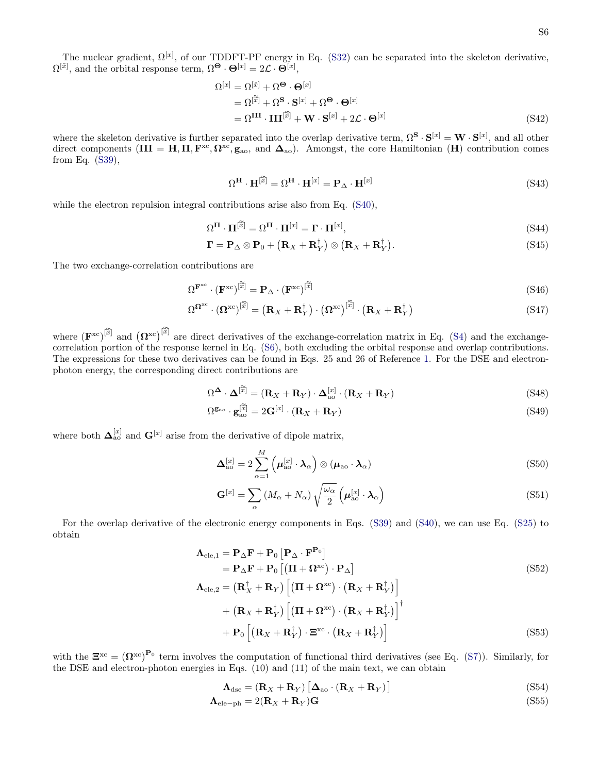<span id="page-5-0"></span>
$$
\Omega^{[x]} = \Omega^{[\tilde{x}]} + \Omega^{\mathbf{\Theta}} \cdot \mathbf{\Theta}^{[x]}
$$
  
=  $\Omega^{[\tilde{x}]} + \Omega^{\mathbf{S}} \cdot \mathbf{S}^{[x]} + \Omega^{\mathbf{\Theta}} \cdot \mathbf{\Theta}^{[x]}$   
=  $\Omega^{\mathbf{III}} \cdot \mathbf{III}^{[\tilde{x}]} + \mathbf{W} \cdot \mathbf{S}^{[x]} + 2\mathcal{L} \cdot \mathbf{\Theta}^{[x]}$  (S42)

where the skeleton derivative is further separated into the overlap derivative term,  $\Omega^{\mathbf{S}} \cdot \mathbf{S}^{[x]} = \mathbf{W} \cdot \mathbf{S}^{[x]}$ , and all other direct components  $(III = H, \Pi, F^{xc}, \Omega^{xc}, g_{ao}, \text{ and } \Delta_{ao})$ . Amongst, the core Hamiltonian  $(H)$  contribution comes from Eq. [\(S39\)](#page-4-0),

<span id="page-5-4"></span><span id="page-5-3"></span><span id="page-5-2"></span>
$$
\Omega^{\mathbf{H}} \cdot \mathbf{H}^{[\widetilde{x}]} = \Omega^{\mathbf{H}} \cdot \mathbf{H}^{[x]} = \mathbf{P}_{\Delta} \cdot \mathbf{H}^{[x]}
$$
 (S43)

while the electron repulsion integral contributions arise also from Eq.  $(S40)$ ,

$$
\Omega^{\Pi} \cdot \Pi^{[\widetilde{x}]} = \Omega^{\Pi} \cdot \Pi^{[x]} = \Gamma \cdot \Pi^{[x]},\tag{S44}
$$

$$
\Gamma = \mathbf{P}_{\Delta} \otimes \mathbf{P}_0 + \left( \mathbf{R}_X + \mathbf{R}_Y^{\dagger} \right) \otimes \left( \mathbf{R}_X + \mathbf{R}_Y^{\dagger} \right). \tag{S45}
$$

The two exchange-correlation contributions are

$$
\Omega^{\mathbf{F}^{\mathrm{xc}}} \cdot (\mathbf{F}^{\mathrm{xc}})^{[\widetilde{\widetilde{x}}]} = \mathbf{P}_{\Delta} \cdot (\mathbf{F}^{\mathrm{xc}})^{[\widetilde{\widetilde{x}}]} \tag{S46}
$$

$$
\Omega^{\Omega^{\text{xc}}} \cdot (\Omega^{\text{xc}})^{[\widetilde{x}]} = (\mathbf{R}_X + \mathbf{R}_Y^{\dagger}) \cdot (\Omega^{\text{xc}})^{[\widetilde{x}]} \cdot (\mathbf{R}_X + \mathbf{R}_Y^{\dagger})
$$
\n(S47)

where  $(\mathbf{F}^{\text{xc}})^{[\tilde{\tilde{x}}]}$  and  $(\mathbf{\Omega}^{\text{xc}})^{[\tilde{\tilde{x}}]}$  are direct derivatives of the exchange-correlation matrix in Eq. [\(S4\)](#page-0-2) and the exchangecorrelation portion of the response kernel in Eq. [\(S6\)](#page-0-1), both excluding the orbital response and overlap contributions. The expressions for these two derivatives can be found in Eqs. 25 and 26 of Reference [1.](#page-17-0) For the DSE and electronphoton energy, the corresponding direct contributions are

$$
\Omega^{\Delta} \cdot \Delta^{[\tilde{\tilde{x}}]} = (\mathbf{R}_X + \mathbf{R}_Y) \cdot \Delta_{\text{ao}}^{[x]} \cdot (\mathbf{R}_X + \mathbf{R}_Y)
$$
\n(S48)

$$
\Omega^{\mathbf{g}_{\text{ao}}} \cdot \mathbf{g}_{\text{ao}}^{[\widetilde{x}]} = 2\mathbf{G}^{[x]} \cdot (\mathbf{R}_X + \mathbf{R}_Y) \tag{S49}
$$

where both  $\Delta_{\text{ao}}^{[x]}$  and  $\mathbf{G}^{[x]}$  arise from the derivative of dipole matrix,

$$
\mathbf{\Delta}_{\text{ao}}^{[x]} = 2 \sum_{\alpha=1}^{M} \left( \boldsymbol{\mu}_{\text{ao}}^{[x]} \cdot \boldsymbol{\lambda}_{\alpha} \right) \otimes \left( \boldsymbol{\mu}_{\text{ao}} \cdot \boldsymbol{\lambda}_{\alpha} \right)
$$
(S50)

$$
\mathbf{G}^{[x]} = \sum_{\alpha} \left( M_{\alpha} + N_{\alpha} \right) \sqrt{\frac{\omega_{\alpha}}{2}} \left( \boldsymbol{\mu}_{\text{ao}}^{[x]} \cdot \boldsymbol{\lambda}_{\alpha} \right)
$$
(S51)

For the overlap derivative of the electronic energy components in Eqs. [\(S39\)](#page-4-0) and [\(S40\)](#page-4-1), we can use Eq. [\(S25\)](#page-2-0) to obtain

<span id="page-5-1"></span>
$$
\Lambda_{\text{ele},1} = \mathbf{P}_{\Delta} \mathbf{F} + \mathbf{P}_{0} \left[ \mathbf{P}_{\Delta} \cdot \mathbf{F}^{\mathbf{P}_{0}} \right] \n= \mathbf{P}_{\Delta} \mathbf{F} + \mathbf{P}_{0} \left[ (\mathbf{\Pi} + \mathbf{\Omega}^{\text{xc}}) \cdot \mathbf{P}_{\Delta} \right] \n\Lambda_{\text{ele},2} = (\mathbf{R}_{X}^{\dagger} + \mathbf{R}_{Y}) \left[ (\mathbf{\Pi} + \mathbf{\Omega}^{\text{xc}}) \cdot (\mathbf{R}_{X} + \mathbf{R}_{Y}^{\dagger}) \right] \n+ (\mathbf{R}_{X} + \mathbf{R}_{Y}^{\dagger}) \left[ (\mathbf{\Pi} + \mathbf{\Omega}^{\text{xc}}) \cdot (\mathbf{R}_{X} + \mathbf{R}_{Y}^{\dagger}) \right]^{+} \n+ \mathbf{P}_{0} \left[ (\mathbf{R}_{X} + \mathbf{R}_{Y}^{\dagger}) \cdot \Xi^{\text{xc}} \cdot (\mathbf{R}_{X} + \mathbf{R}_{Y}^{\dagger}) \right]
$$
\n(S53)

with the  $\mathbf{\Xi}^{\text{xc}} = (\mathbf{\Omega}^{\text{xc}})^{\mathbf{P}_0}$  term involves the computation of functional third derivatives (see Eq. [\(S7\)](#page-0-3)). Similarly, for the DSE and electron-photon energies in Eqs. (10) and (11) of the main text, we can obtain

$$
\mathbf{\Lambda}_{\text{dse}} = (\mathbf{R}_X + \mathbf{R}_Y) \left[ \mathbf{\Delta}_{\text{ao}} \cdot (\mathbf{R}_X + \mathbf{R}_Y) \right]
$$
 (S54)

$$
\Lambda_{\text{ele-ph}} = 2(\mathbf{R}_X + \mathbf{R}_Y)\mathbf{G}
$$
\n<sup>(S55)</sup>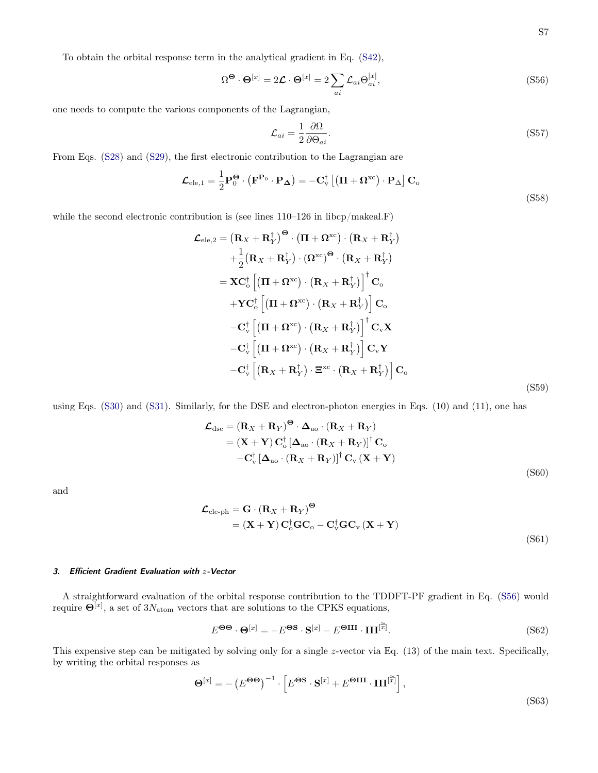To obtain the orbital response term in the analytical gradient in Eq. [\(S42\)](#page-5-0),

<span id="page-6-0"></span>
$$
\Omega^{\Theta} \cdot \Theta^{[x]} = 2\mathcal{L} \cdot \Theta^{[x]} = 2\sum_{ai} \mathcal{L}_{ai} \Theta^{[x]}_{ai},\tag{S56}
$$

one needs to compute the various components of the Lagrangian,

$$
\mathcal{L}_{ai} = \frac{1}{2} \frac{\partial \Omega}{\partial \Theta_{ai}}.
$$
\n(S57)

From Eqs. [\(S28\)](#page-3-2) and [\(S29\)](#page-3-2), the first electronic contribution to the Lagrangian are

$$
\mathcal{L}_{ele,1} = \frac{1}{2} \mathbf{P}_0^{\Theta} \cdot (\mathbf{F}^{\mathbf{P}_0} \cdot \mathbf{P}_{\Delta}) = -\mathbf{C}_{\mathrm{v}}^{\dagger} \left[ \left( \mathbf{\Pi} + \mathbf{\Omega}^{\mathrm{xc}} \right) \cdot \mathbf{P}_{\Delta} \right] \mathbf{C}_{\mathrm{o}}
$$
\n(S58)

while the second electronic contribution is (see lines  $110-126$  in libcp/makeal.F)

$$
\mathcal{L}_{ele,2} = (\mathbf{R}_X + \mathbf{R}_Y^{\dagger})^{\Theta} \cdot (\mathbf{\Pi} + \mathbf{\Omega}^{xc}) \cdot (\mathbf{R}_X + \mathbf{R}_Y^{\dagger}) \n+ \frac{1}{2} (\mathbf{R}_X + \mathbf{R}_Y^{\dagger}) \cdot (\mathbf{\Omega}^{xc})^{\Theta} \cdot (\mathbf{R}_X + \mathbf{R}_Y^{\dagger}) \n= \mathbf{X} \mathbf{C}_o^{\dagger} \left[ (\mathbf{\Pi} + \mathbf{\Omega}^{xc}) \cdot (\mathbf{R}_X + \mathbf{R}_Y^{\dagger}) \right]^{\dagger} \mathbf{C}_o \n+ \mathbf{Y} \mathbf{C}_o^{\dagger} \left[ (\mathbf{\Pi} + \mathbf{\Omega}^{xc}) \cdot (\mathbf{R}_X + \mathbf{R}_Y^{\dagger}) \right] \mathbf{C}_o \n- \mathbf{C}_v^{\dagger} \left[ (\mathbf{\Pi} + \mathbf{\Omega}^{xc}) \cdot (\mathbf{R}_X + \mathbf{R}_Y^{\dagger}) \right]^{\dagger} \mathbf{C}_v \mathbf{X} \n- \mathbf{C}_v^{\dagger} \left[ (\mathbf{\Pi} + \mathbf{\Omega}^{xc}) \cdot (\mathbf{R}_X + \mathbf{R}_Y^{\dagger}) \right] \mathbf{C}_v \mathbf{Y} \n- \mathbf{C}_v^{\dagger} \left[ (\mathbf{R}_X + \mathbf{R}_Y^{\dagger}) \cdot \mathbf{\Xi}^{xc} \cdot (\mathbf{R}_X + \mathbf{R}_Y^{\dagger}) \right] \mathbf{C}_o
$$
\n(S59)

using Eqs. [\(S30\)](#page-3-2) and [\(S31\)](#page-3-2). Similarly, for the DSE and electron-photon energies in Eqs. (10) and (11), one has

$$
\mathcal{L}_{\text{dse}} = (\mathbf{R}_X + \mathbf{R}_Y)^{\Theta} \cdot \mathbf{\Delta}_{\text{ao}} \cdot (\mathbf{R}_X + \mathbf{R}_Y)
$$
  
= (\mathbf{X} + \mathbf{Y}) \mathbf{C}\_{\text{o}}^{\dagger} [\mathbf{\Delta}\_{\text{ao}} \cdot (\mathbf{R}\_X + \mathbf{R}\_Y)]^{\dagger} \mathbf{C}\_{\text{o}}  
-\mathbf{C}\_{\text{v}}^{\dagger} [\mathbf{\Delta}\_{\text{ao}} \cdot (\mathbf{R}\_X + \mathbf{R}\_Y)]^{\dagger} \mathbf{C}\_{\text{v}} (\mathbf{X} + \mathbf{Y}) \tag{S60}

and

$$
\mathcal{L}_{ele-ph} = \mathbf{G} \cdot (\mathbf{R}_X + \mathbf{R}_Y)^{\Theta}
$$
  
=  $(\mathbf{X} + \mathbf{Y}) \mathbf{C}_o^{\dagger} \mathbf{G} \mathbf{C}_o - \mathbf{C}_v^{\dagger} \mathbf{G} \mathbf{C}_v (\mathbf{X} + \mathbf{Y})$  (S61)

#### 3. Efficient Gradient Evaluation with z-Vector

A straightforward evaluation of the orbital response contribution to the TDDFT-PF gradient in Eq. [\(S56\)](#page-6-0) would require  $\Theta^{[x]}$ , a set of  $3N_{\text{atom}}$  vectors that are solutions to the CPKS equations,

$$
E^{\Theta\Theta} \cdot \Theta^{[x]} = -E^{\Theta S} \cdot \mathbf{S}^{[x]} - E^{\Theta \mathbf{III}} \cdot \mathbf{III}^{[\widetilde{x}]}.
$$
 (S62)

This expensive step can be mitigated by solving only for a single z-vector via Eq. (13) of the main text. Specifically, by writing the orbital responses as

$$
\mathbf{\Theta}^{[x]} = -\left(E^{\mathbf{\Theta}\mathbf{\Theta}}\right)^{-1} \cdot \left[E^{\mathbf{\Theta}\mathbf{S}} \cdot \mathbf{S}^{[x]} + E^{\mathbf{\Theta}III} \cdot \mathbf{III}^{[\widetilde{x}]} \right],\tag{S63}
$$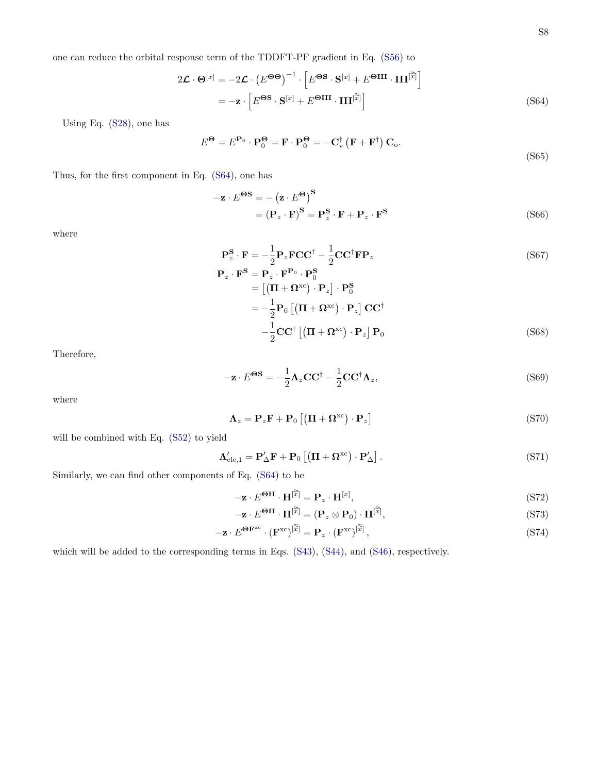one can reduce the orbital response term of the TDDFT-PF gradient in Eq. [\(S56\)](#page-6-0) to

<span id="page-7-0"></span>
$$
2\mathcal{L} \cdot \mathbf{\Theta}^{[x]} = -2\mathcal{L} \cdot (E^{\Theta \Theta})^{-1} \cdot \left[E^{\Theta \mathbf{S}} \cdot \mathbf{S}^{[x]} + E^{\Theta \mathbf{III}} \cdot \mathbf{III}^{[\widetilde{x}]} \right]
$$

$$
= -\mathbf{z} \cdot \left[E^{\Theta \mathbf{S}} \cdot \mathbf{S}^{[x]} + E^{\Theta \mathbf{III}} \cdot \mathbf{III}^{[\widetilde{x}]} \right]
$$
(S64)

Using Eq. [\(S28\)](#page-3-2), one has

$$
E^{\Theta} = E^{\mathbf{P}_0} \cdot \mathbf{P}_0^{\Theta} = \mathbf{F} \cdot \mathbf{P}_0^{\Theta} = -\mathbf{C}_{\mathbf{v}}^{\dagger} \left( \mathbf{F} + \mathbf{F}^{\dagger} \right) \mathbf{C}_{\mathbf{o}}.
$$
\n(865)

Thus, for the first component in Eq. [\(S64\)](#page-7-0), one has

$$
-\mathbf{z} \cdot E^{\Theta S} = -(\mathbf{z} \cdot E^{\Theta})^S
$$
  
=  $(\mathbf{P}_z \cdot \mathbf{F})^S = \mathbf{P}_z^S \cdot \mathbf{F} + \mathbf{P}_z \cdot \mathbf{F}^S$  (S66)

where

$$
\mathbf{P}_{z}^{\mathbf{S}} \cdot \mathbf{F} = -\frac{1}{2} \mathbf{P}_{z} \mathbf{F} \mathbf{C} \mathbf{C}^{\dagger} - \frac{1}{2} \mathbf{C} \mathbf{C}^{\dagger} \mathbf{F} \mathbf{P}_{z}
$$
(S67)

$$
\mathbf{P}_z \cdot \mathbf{F}^{\mathbf{S}} = \mathbf{P}_z \cdot \mathbf{F}^{\mathbf{P}_0} \cdot \mathbf{P}_0^{\mathbf{S}}
$$
  
= 
$$
\left[ (\mathbf{\Pi} + \mathbf{\Omega}^{\mathbf{xc}}) \cdot \mathbf{P}_z \right] \cdot \mathbf{P}_0^{\mathbf{S}}
$$
  
= 
$$
-\frac{1}{2} \mathbf{P}_0 \left[ (\mathbf{\Pi} + \mathbf{\Omega}^{\mathbf{xc}}) \cdot \mathbf{P}_z \right] \mathbf{C} \mathbf{C}^{\dagger}
$$
  

$$
-\frac{1}{2} \mathbf{C} \mathbf{C}^{\dagger} \left[ (\mathbf{\Pi} + \mathbf{\Omega}^{\mathbf{xc}}) \cdot \mathbf{P}_z \right] \mathbf{P}_0
$$
(S68)

Therefore,

$$
-\mathbf{z} \cdot E^{\Theta S} = -\frac{1}{2} \Lambda_z \mathbf{C} \mathbf{C}^\dagger - \frac{1}{2} \mathbf{C} \mathbf{C}^\dagger \Lambda_z,\tag{S69}
$$

where

$$
\Lambda_z = \mathbf{P}_z \mathbf{F} + \mathbf{P}_0 \left[ \left( \mathbf{\Pi} + \mathbf{\Omega}^{\text{xc}} \right) \cdot \mathbf{P}_z \right] \tag{S70}
$$

will be combined with Eq. [\(S52\)](#page-5-1) to yield

$$
\Lambda_{\text{ele},1}^{\prime} = \mathbf{P}_{\Delta}^{\prime} \mathbf{F} + \mathbf{P}_{0} \left[ \left( \mathbf{\Pi} + \mathbf{\Omega}^{\text{xc}} \right) \cdot \mathbf{P}_{\Delta}^{\prime} \right]. \tag{S71}
$$

Similarly, we can find other components of Eq. [\(S64\)](#page-7-0) to be

$$
-\mathbf{z} \cdot E^{\Theta \mathbf{H}} \cdot \mathbf{H}^{[\widetilde{x}]} = \mathbf{P}_z \cdot \mathbf{H}^{[x]},\tag{S72}
$$

$$
-\mathbf{z} \cdot E^{\boldsymbol{\Theta}\boldsymbol{\Pi}} \cdot \boldsymbol{\Pi}^{[\widetilde{\widetilde{x}}]} = (\mathbf{P}_z \otimes \mathbf{P}_0) \cdot \boldsymbol{\Pi}^{[\widetilde{\widetilde{x}}]},\tag{S73}
$$

$$
-\mathbf{z} \cdot E^{\mathbf{\Theta} \mathbf{F}^{\mathrm{xc}}} \cdot (\mathbf{F}^{\mathrm{xc}})^{[\widetilde{\widetilde{x}}]} = \mathbf{P}_z \cdot (\mathbf{F}^{\mathrm{xc}})^{[\widetilde{\widetilde{x}}]} ,\tag{S74}
$$

which will be added to the corresponding terms in Eqs. [\(S43\)](#page-5-2), [\(S44\)](#page-5-3), and [\(S46\)](#page-5-4), respectively.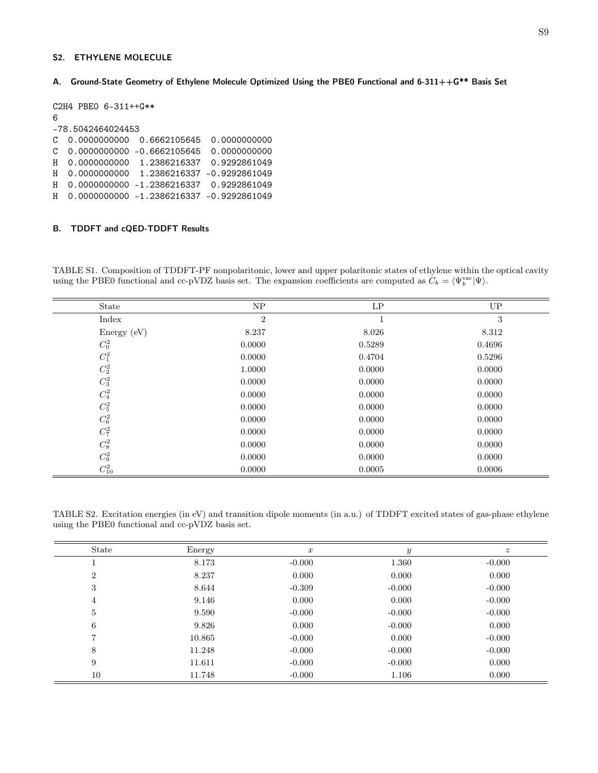#### S2. ETHYLENE MOLECULE

A. Ground-State Geometry of Ethylene Molecule Optimized Using the PBE0 Functional and 6-311++G\*\* Basis Set

```
C2H4 PBE0 6-311++G**
6
-78.5042464024453
C 0.0000000000 0.6662105645 0.0000000000
C 0.0000000000 -0.6662105645 0.0000000000
H 0.0000000000 1.2386216337 0.9292861049
H 0.0000000000 1.2386216337 -0.9292861049
H 0.0000000000 -1.2386216337 0.9292861049
H 0.0000000000 -1.2386216337 -0.9292861049
```
### B. TDDFT and cQED-TDDFT Results

TABLE S1. Composition of TDDFT-PF nonpolaritonic, lower and upper polaritonic states of ethylene within the optical cavity using the PBE0 functional and cc-pVDZ basis set. The expansion coefficients are computed as  $C_k = \langle \Psi_k^{\text{vac}} | \Psi \rangle$ .

| State                                            | ${\rm NP}$     | LP     | UP     |
|--------------------------------------------------|----------------|--------|--------|
| Index                                            | $\overline{2}$ |        | 3      |
| Energy $(eV)$                                    | 8.237          | 8.026  | 8.312  |
| $\mathbb{C}^2_0$                                 | 0.0000         | 0.5289 | 0.4696 |
| $\mathbb{C}^2_1$                                 | 0.0000         | 0.4704 | 0.5296 |
| $\mathbb{C}^2_2$                                 | 1.0000         | 0.0000 | 0.0000 |
| $\mathbb{C}^2_3$                                 | 0.0000         | 0.0000 | 0.0000 |
| $\mathbb{C}^2_4$                                 | 0.0000         | 0.0000 | 0.0000 |
| $\mathbb{C}^2_5$                                 | 0.0000         | 0.0000 | 0.0000 |
| $\mathbb{C}^2_6$                                 | 0.0000         | 0.0000 | 0.0000 |
| $\mathbb{C}^2_7$                                 | 0.0000         | 0.0000 | 0.0000 |
| $\mathbb{C}^2_8$                                 | 0.0000         | 0.0000 | 0.0000 |
|                                                  | 0.0000         | 0.0000 | 0.0000 |
| $\begin{array}{c} C_9^2 \\ C_{10}^2 \end{array}$ | 0.0000         | 0.0005 | 0.0006 |

TABLE S2. Excitation energies (in eV) and transition dipole moments (in a.u.) of TDDFT excited states of gas-phase ethylene using the PBE0 functional and cc-pVDZ basis set.

| State          | Energy | $\boldsymbol{x}$ | $\boldsymbol{y}$ | $\boldsymbol{z}$ |
|----------------|--------|------------------|------------------|------------------|
|                | 8.173  | $-0.000$         | 1.360            | $-0.000$         |
| $\overline{2}$ | 8.237  | 0.000            | 0.000            | 0.000            |
| 3              | 8.644  | $-0.309$         | $-0.000$         | $-0.000$         |
| 4              | 9.146  | 0.000            | 0.000            | $-0.000$         |
| $\overline{5}$ | 9.590  | $-0.000$         | $-0.000$         | $-0.000$         |
| 6              | 9.826  | 0.000            | $-0.000$         | 0.000            |
| $\overline{7}$ | 10.865 | $-0.000$         | 0.000            | $-0.000$         |
| 8              | 11.248 | $-0.000$         | $-0.000$         | $-0.000$         |
| 9              | 11.611 | $-0.000$         | $-0.000$         | 0.000            |
| 10             | 11.748 | $-0.000$         | 1.106            | 0.000            |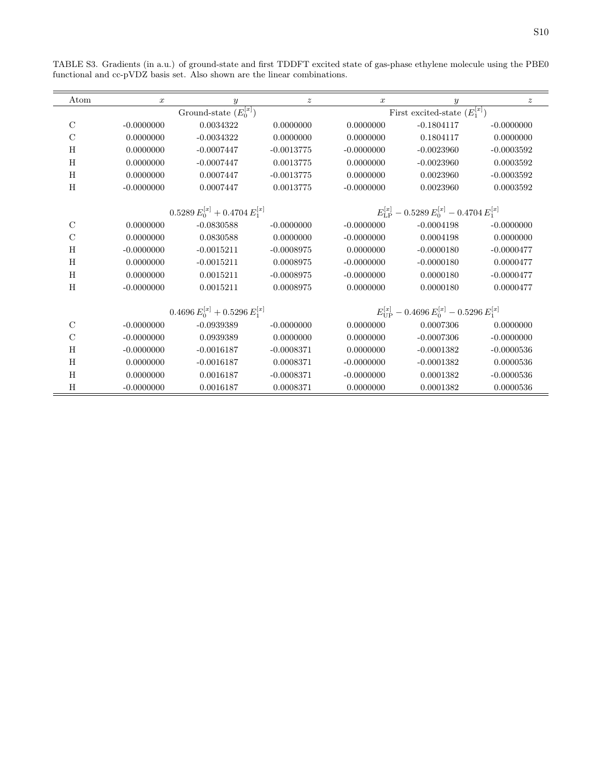| Atom                       | $\boldsymbol{x}$ | y                                     | $\boldsymbol{z}$                             | $\boldsymbol{x}$ | $\boldsymbol{y}$                                                    | $\boldsymbol{z}$ |
|----------------------------|------------------|---------------------------------------|----------------------------------------------|------------------|---------------------------------------------------------------------|------------------|
| Ground-state $(E_0^{[x]})$ |                  |                                       | First excited-state $(E_1^{[\overline{x}]})$ |                  |                                                                     |                  |
| $\mathcal{C}$              | $-0.0000000$     | 0.0034322                             | 0.0000000                                    | 0.0000000        | $-0.1804117$                                                        | $-0.0000000$     |
| $\mathcal{C}$              | 0.0000000        | $-0.0034322$                          | 0.0000000                                    | 0.0000000        | 0.1804117                                                           | 0.0000000        |
| H                          | 0.0000000        | $-0.0007447$                          | $-0.0013775$                                 | $-0.0000000$     | $-0.0023960$                                                        | $-0.0003592$     |
| H                          | 0.0000000        | $-0.0007447$                          | 0.0013775                                    | 0.0000000        | $-0.0023960$                                                        | 0.0003592        |
| H                          | 0.0000000        | 0.0007447                             | $-0.0013775$                                 | 0.0000000        | 0.0023960                                                           | $-0.0003592$     |
| H                          | $-0.0000000$     | 0.0007447                             | 0.0013775                                    | $-0.0000000$     | 0.0023960                                                           | 0.0003592        |
|                            |                  | $0.5289 E_0^{[x]} + 0.4704 E_1^{[x]}$ |                                              |                  | $E_{\text{LP}}^{[x]} = 0.5289 E_{0}^{[x]} = 0.4704 E_{1}^{[x]}$     |                  |
| $\rm C$                    | 0.0000000        | $-0.0830588$                          | $-0.0000000$                                 | $-0.0000000$     | $-0.0004198$                                                        | $-0.0000000$     |
| $\rm C$                    | 0.0000000        | 0.0830588                             | 0.0000000                                    | $-0.0000000$     | 0.0004198                                                           | 0.0000000        |
| H                          | $-0.0000000$     | $-0.0015211$                          | $-0.0008975$                                 | 0.0000000        | $-0.0000180$                                                        | $-0.0000477$     |
| H                          | 0.0000000        | $-0.0015211$                          | 0.0008975                                    | $-0.0000000$     | $-0.0000180$                                                        | 0.0000477        |
| H                          | 0.0000000        | 0.0015211                             | $-0.0008975$                                 | $-0.0000000$     | 0.0000180                                                           | $-0.0000477$     |
| H                          | $-0.0000000$     | 0.0015211                             | 0.0008975                                    | 0.0000000        | 0.0000180                                                           | 0.0000477        |
|                            |                  | $0.4696 E_0^{[x]} + 0.5296 E_1^{[x]}$ |                                              |                  | $E_{\text{HP}}^{[x]}$ - 0.4696 $E_{0}^{[x]}$ - 0.5296 $E_{1}^{[x]}$ |                  |
| $\rm C$                    | $-0.0000000$     | $-0.0939389$                          | $-0.0000000$                                 | 0.0000000        | 0.0007306                                                           | 0.0000000        |
| $\mathcal{C}$              | $-0.0000000$     | 0.0939389                             | 0.0000000                                    | 0.0000000        | $-0.0007306$                                                        | $-0.0000000$     |
| H                          | $-0.0000000$     | $-0.0016187$                          | $-0.0008371$                                 | 0.0000000        | $-0.0001382$                                                        | $-0.0000536$     |
| H                          | 0.0000000        | $-0.0016187$                          | 0.0008371                                    | $-0.0000000$     | $-0.0001382$                                                        | 0.0000536        |
| H                          | 0.0000000        | 0.0016187                             | $-0.0008371$                                 | $-0.0000000$     | 0.0001382                                                           | $-0.0000536$     |
| H                          | $-0.0000000$     | 0.0016187                             | 0.0008371                                    | 0.0000000        | 0.0001382                                                           | 0.0000536        |

TABLE S3. Gradients (in a.u.) of ground-state and first TDDFT excited state of gas-phase ethylene molecule using the PBE0 functional and cc-pVDZ basis set. Also shown are the linear combinations.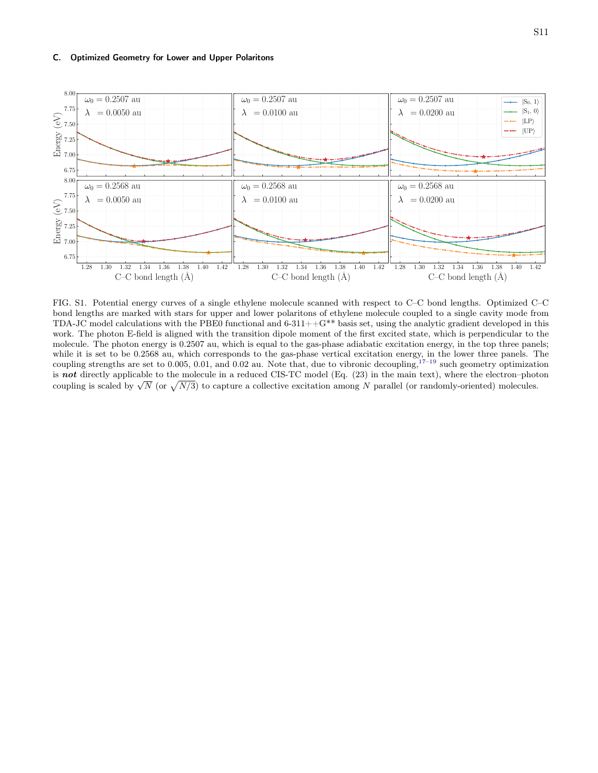#### C. Optimized Geometry for Lower and Upper Polaritons



FIG. S1. Potential energy curves of a single ethylene molecule scanned with respect to C–C bond lengths. Optimized C–C bond lengths are marked with stars for upper and lower polaritons of ethylene molecule coupled to a single cavity mode from TDA-JC model calculations with the PBE0 functional and  $6-311++G^{**}$  basis set, using the analytic gradient developed in this work. The photon E-field is aligned with the transition dipole moment of the first excited state, which is perpendicular to the molecule. The photon energy is 0.2507 au, which is equal to the gas-phase adiabatic excitation energy, in the top three panels; while it is set to be 0.2568 au, which corresponds to the gas-phase vertical excitation energy, in the lower three panels. The coupling strengths are set to 0.005, 0.01, and 0.02 au. Note that, due to vibronic decoupling,  $17-19$  $17-19$  such geometry optimization is not directly applicable to the molecule in a reduced CIS-TC model (Eq. (23) in the main text), where the electron–photon is not differently applicable to the molecule in a reduced CB-1C model (Eq. (25) in the main text), where the electron-photomorphotomorphotomorphotomorphotomorphotomorphotomorphotomorphotomorphotomorphotomorphotomorphotom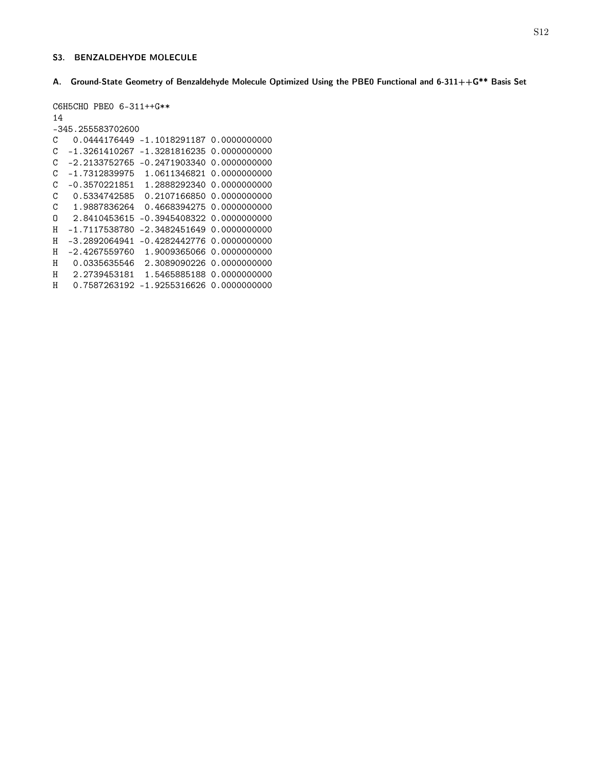#### S3. BENZALDEHYDE MOLECULE

A. Ground-State Geometry of Benzaldehyde Molecule Optimized Using the PBE0 Functional and 6-311++G\*\* Basis Set

```
C6H5CHO PBE0 6-311++G**
14
-345.255583702600
C 0.0444176449 -1.1018291187 0.0000000000
C -1.3261410267 -1.3281816235 0.0000000000
C -2.2133752765 -0.2471903340 0.0000000000
C -1.7312839975 1.0611346821 0.0000000000
C -0.3570221851 1.2888292340 0.0000000000
C 0.5334742585 0.2107166850 0.0000000000
C 1.9887836264 0.4668394275 0.0000000000
O 2.8410453615 -0.3945408322 0.0000000000
H -1.7117538780 -2.3482451649 0.0000000000
H -3.2892064941 -0.4282442776 0.0000000000
H -2.4267559760 1.9009365066 0.0000000000
H 0.0335635546 2.3089090226 0.0000000000
H 2.2739453181 1.5465885188 0.0000000000
H 0.7587263192 -1.9255316626 0.0000000000
```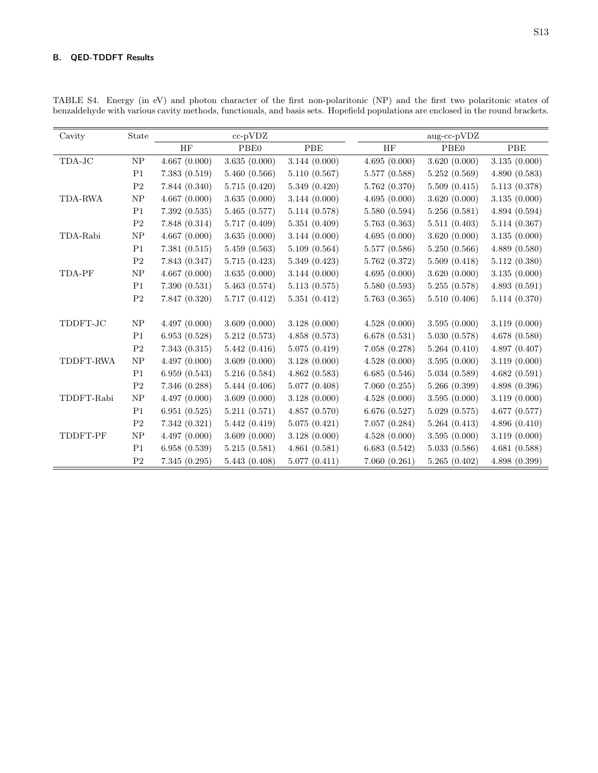## B. QED-TDDFT Results

| Cavity     | State          |               | $cc$ -p $VDZ$    |              |               | $\operatorname{aug-cc-pVDZ}$ |              |
|------------|----------------|---------------|------------------|--------------|---------------|------------------------------|--------------|
|            |                | HF            | PBE <sub>0</sub> | PBE          | HF            | PBE <sub>0</sub>             | PBE          |
| TDA-JC     | NP             | 4.667(0.000)  | 3.635(0.000)     | 3.144(0.000) | 4.695(0.000)  | 3.620(0.000)                 | 3.135(0.000) |
|            | P1             | 7.383(0.519)  | 5.460(0.566)     | 5.110(0.567) | 5.577 (0.588) | 5.252(0.569)                 | 4.890(0.583) |
|            | P <sub>2</sub> | 7.844(0.340)  | 5.715(0.420)     | 5.349(0.420) | 5.762 (0.370) | 5.509(0.415)                 | 5.113(0.378) |
| TDA-RWA    | NP             | 4.667(0.000)  | 3.635(0.000)     | 3.144(0.000) | 4.695(0.000)  | 3.620(0.000)                 | 3.135(0.000) |
|            | P1             | 7.392(0.535)  | 5.465(0.577)     | 5.114(0.578) | 5.580 (0.594) | 5.256(0.581)                 | 4.894(0.594) |
|            | P <sub>2</sub> | 7.848 (0.314) | 5.717 (0.409)    | 5.351(0.409) | 5.763(0.363)  | 5.511(0.403)                 | 5.114(0.367) |
| TDA-Rabi   | ${\rm NP}$     | 4.667(0.000)  | 3.635(0.000)     | 3.144(0.000) | 4.695(0.000)  | 3.620(0.000)                 | 3.135(0.000) |
|            | P <sub>1</sub> | 7.381(0.515)  | 5.459(0.563)     | 5.109(0.564) | 5.577 (0.586) | 5.250(0.566)                 | 4.889(0.580) |
|            | P <sub>2</sub> | 7.843 (0.347) | 5.715(0.423)     | 5.349(0.423) | 5.762 (0.372) | 5.509(0.418)                 | 5.112(0.380) |
| TDA-PF     | ${\rm NP}$     | 4.667(0.000)  | 3.635(0.000)     | 3.144(0.000) | 4.695(0.000)  | 3.620(0.000)                 | 3.135(0.000) |
|            | P <sub>1</sub> | 7.390(0.531)  | 5.463(0.574)     | 5.113(0.575) | 5.580 (0.593) | 5.255(0.578)                 | 4.893(0.591) |
|            | $\mathbf{P}2$  | 7.847 (0.320) | 5.717(0.412)     | 5.351(0.412) | 5.763(0.365)  | 5.510(0.406)                 | 5.114(0.370) |
|            |                |               |                  |              |               |                              |              |
| TDDFT-JC   | NP             | 4.497(0.000)  | 3.609(0.000)     | 3.128(0.000) | 4.528(0.000)  | 3.595(0.000)                 | 3.119(0.000) |
|            | P <sub>1</sub> | 6.953(0.528)  | 5.212(0.573)     | 4.858(0.573) | 6.678(0.531)  | 5.030(0.578)                 | 4.678(0.580) |
|            | P <sub>2</sub> | 7.343(0.315)  | 5.442(0.416)     | 5.075(0.419) | 7.058(0.278)  | 5.264(0.410)                 | 4.897(0.407) |
| TDDFT-RWA  | ${\rm NP}$     | 4.497(0.000)  | 3.609(0.000)     | 3.128(0.000) | 4.528(0.000)  | 3.595(0.000)                 | 3.119(0.000) |
|            | P1             | 6.959(0.543)  | 5.216(0.584)     | 4.862(0.583) | 6.685(0.546)  | 5.034(0.589)                 | 4.682(0.591) |
|            | P <sub>2</sub> | 7.346 (0.288) | 5.444(0.406)     | 5.077(0.408) | 7.060(0.255)  | 5.266(0.399)                 | 4.898(0.396) |
| TDDFT-Rabi | ${\rm NP}$     | 4.497(0.000)  | 3.609(0.000)     | 3.128(0.000) | 4.528(0.000)  | 3.595(0.000)                 | 3.119(0.000) |
|            | P1             | 6.951(0.525)  | 5.211(0.571)     | 4.857(0.570) | 6.676(0.527)  | 5.029(0.575)                 | 4.677(0.577) |
|            | P <sub>2</sub> | 7.342(0.321)  | 5.442(0.419)     | 5.075(0.421) | 7.057(0.284)  | 5.264(0.413)                 | 4.896(0.410) |
| TDDFT-PF   | ${\rm NP}$     | 4.497(0.000)  | 3.609(0.000)     | 3.128(0.000) | 4.528(0.000)  | 3.595(0.000)                 | 3.119(0.000) |
|            | P <sub>1</sub> | 6.958(0.539)  | 5.215(0.581)     | 4.861(0.581) | 6.683(0.542)  | 5.033(0.586)                 | 4.681(0.588) |
|            | P <sub>2</sub> | 7.345(0.295)  | 5.443(0.408)     | 5.077(0.411) | 7.060(0.261)  | 5.265(0.402)                 | 4.898(0.399) |

TABLE S4. Energy (in eV) and photon character of the first non-polaritonic (NP) and the first two polaritonic states of benzaldehyde with various cavity methods, functionals, and basis sets. Hopefield populations are enclosed in the round brackets.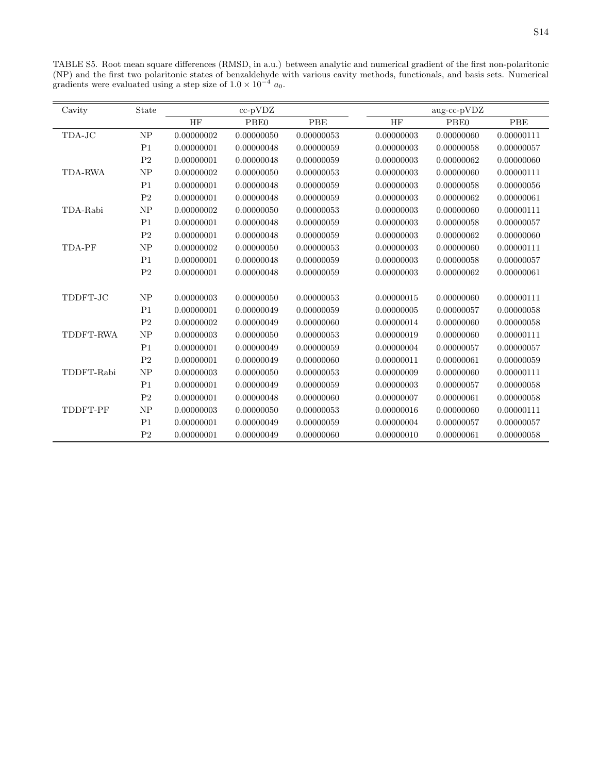TABLE S5. Root mean square differences (RMSD, in a.u.) between analytic and numerical gradient of the first non-polaritonic (NP) and the first two polaritonic states of benzaldehyde with various cavity methods, functionals, and basis sets. Numerical gradients were evaluated using a step size of  $1.0 \times 10^{-4}$  a<sub>0</sub>.

| Cavity         | State          |            | cc-pVDZ    |            |            | aug-cc-pVDZ |            |
|----------------|----------------|------------|------------|------------|------------|-------------|------------|
|                |                | HF         | PBE0       | PBE        | HF         | PBE0        | PBE        |
| TDA-JC         | NP             | 0.00000002 | 0.00000050 | 0.00000053 | 0.00000003 | 0.00000060  | 0.00000111 |
|                | P <sub>1</sub> | 0.00000001 | 0.00000048 | 0.00000059 | 0.00000003 | 0.00000058  | 0.00000057 |
|                | P <sub>2</sub> | 0.00000001 | 0.00000048 | 0.00000059 | 0.00000003 | 0.00000062  | 0.00000060 |
| <b>TDA-RWA</b> | NP             | 0.00000002 | 0.00000050 | 0.00000053 | 0.00000003 | 0.00000060  | 0.00000111 |
|                | P <sub>1</sub> | 0.00000001 | 0.00000048 | 0.00000059 | 0.00000003 | 0.00000058  | 0.00000056 |
|                | $\mathbf{P}2$  | 0.00000001 | 0.00000048 | 0.00000059 | 0.00000003 | 0.00000062  | 0.00000061 |
| TDA-Rabi       | N <sub>P</sub> | 0.00000002 | 0.00000050 | 0.00000053 | 0.00000003 | 0.00000060  | 0.00000111 |
|                | P <sub>1</sub> | 0.00000001 | 0.00000048 | 0.00000059 | 0.00000003 | 0.00000058  | 0.00000057 |
|                | $\mathbf{P}2$  | 0.00000001 | 0.00000048 | 0.00000059 | 0.00000003 | 0.00000062  | 0.00000060 |
| TDA-PF         | NP             | 0.00000002 | 0.00000050 | 0.00000053 | 0.00000003 | 0.00000060  | 0.00000111 |
|                | P <sub>1</sub> | 0.00000001 | 0.00000048 | 0.00000059 | 0.00000003 | 0.00000058  | 0.00000057 |
|                | $\mathbf{P}2$  | 0.00000001 | 0.00000048 | 0.00000059 | 0.00000003 | 0.00000062  | 0.00000061 |
|                |                |            |            |            |            |             |            |
| TDDFT-JC       | <b>NP</b>      | 0.00000003 | 0.00000050 | 0.00000053 | 0.00000015 | 0.00000060  | 0.00000111 |
|                | P <sub>1</sub> | 0.00000001 | 0.00000049 | 0.00000059 | 0.00000005 | 0.00000057  | 0.00000058 |
|                | P <sub>2</sub> | 0.00000002 | 0.00000049 | 0.00000060 | 0.00000014 | 0.00000060  | 0.00000058 |
| TDDFT-RWA      | NP             | 0.00000003 | 0.00000050 | 0.00000053 | 0.00000019 | 0.00000060  | 0.00000111 |
|                | P <sub>1</sub> | 0.00000001 | 0.00000049 | 0.00000059 | 0.00000004 | 0.00000057  | 0.00000057 |
|                | $\mathbf{P}2$  | 0.00000001 | 0.00000049 | 0.00000060 | 0.00000011 | 0.00000061  | 0.00000059 |
| TDDFT-Rabi     | N <sub>P</sub> | 0.00000003 | 0.00000050 | 0.00000053 | 0.00000009 | 0.00000060  | 0.00000111 |
|                | P <sub>1</sub> | 0.00000001 | 0.00000049 | 0.00000059 | 0.00000003 | 0.00000057  | 0.00000058 |
|                | $\mathbf{P}2$  | 0.00000001 | 0.00000048 | 0.00000060 | 0.00000007 | 0.00000061  | 0.00000058 |
| TDDFT-PF       | NP             | 0.00000003 | 0.00000050 | 0.00000053 | 0.00000016 | 0.00000060  | 0.00000111 |
|                | P <sub>1</sub> | 0.00000001 | 0.00000049 | 0.00000059 | 0.00000004 | 0.00000057  | 0.00000057 |
|                | P <sub>2</sub> | 0.00000001 | 0.00000049 | 0.00000060 | 0.00000010 | 0.00000061  | 0.00000058 |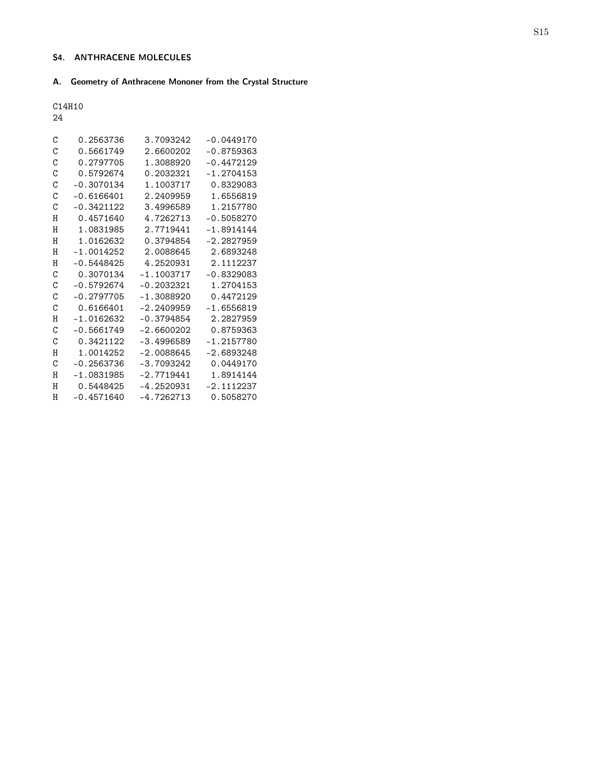# S4. ANTHRACENE MOLECULES

# A. Geometry of Anthracene Mononer from the Crystal Structure

C14H10

24

| C             | 0.2563736    | 3.7093242    | $-0.0449170$ |
|---------------|--------------|--------------|--------------|
| C             | 0.5661749    | 2.6600202    | $-0.8759363$ |
| C             | 0.2797705    | 1.3088920    | $-0.4472129$ |
| $\mathcal{C}$ | 0.5792674    | 0.2032321    | $-1.2704153$ |
| C             | $-0.3070134$ | 1.1003717    | 0.8329083    |
| C             | $-0.6166401$ | 2.2409959    | 1.6556819    |
| C             | $-0.3421122$ | 3.4996589    | 1.2157780    |
| H             | 0.4571640    | 4.7262713    | $-0.5058270$ |
| H             | 1.0831985    | 2.7719441    | $-1.8914144$ |
| H             | 1.0162632    | 0.3794854    | $-2.2827959$ |
| H             | $-1.0014252$ | 2.0088645    | 2.6893248    |
| H             | $-0.5448425$ | 4.2520931    | 2.1112237    |
| C             | 0.3070134    | $-1.1003717$ | $-0.8329083$ |
| C             | $-0.5792674$ | $-0.2032321$ | 1.2704153    |
| C             | $-0.2797705$ | $-1.3088920$ | 0.4472129    |
| C             | 0.6166401    | $-2.2409959$ | $-1.6556819$ |
| Η             | $-1.0162632$ | $-0.3794854$ | 2.2827959    |
| C             | $-0.5661749$ | $-2.6600202$ | 0.8759363    |
| C             | 0.3421122    | $-3.4996589$ | $-1.2157780$ |
| H             | 1.0014252    | $-2.0088645$ | $-2.6893248$ |
| $\mathcal{C}$ | $-0.2563736$ | $-3.7093242$ | 0.0449170    |
| H             | $-1.0831985$ | $-2.7719441$ | 1.8914144    |
| H             | 0.5448425    | $-4.2520931$ | $-2.1112237$ |
| Η             | $-0.4571640$ | $-4.7262713$ | 0.5058270    |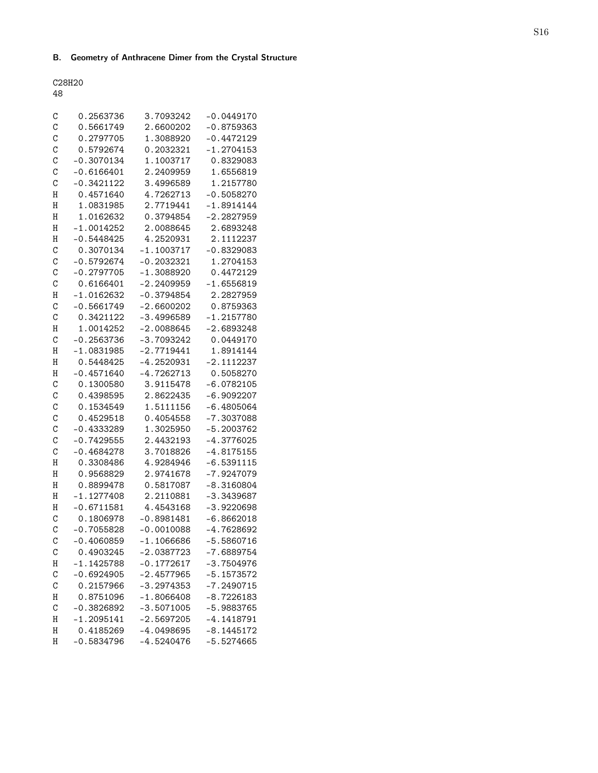# B. Geometry of Anthracene Dimer from the Crystal Structure

C28H20

48

| С             | 0.2563736    | 3.7093242    | $-0.0449170$ |
|---------------|--------------|--------------|--------------|
| C             | 0.5661749    | 2.6600202    | $-0.8759363$ |
| $\mathcal{C}$ | 0.2797705    | 1.3088920    | $-0.4472129$ |
| $\mathcal{C}$ | 0.5792674    | 0.2032321    | $-1.2704153$ |
| C             | $-0.3070134$ | 1.1003717    | 0.8329083    |
| C             | $-0.6166401$ | 2.2409959    | 1.6556819    |
| $\mathcal{C}$ | $-0.3421122$ | 3.4996589    | 1.2157780    |
| Н             | 0.4571640    | 4.7262713    | $-0.5058270$ |
| H             | 1.0831985    | 2.7719441    | $-1.8914144$ |
| H             | 1.0162632    | 0.3794854    | $-2.2827959$ |
| H             | $-1.0014252$ | 2.0088645    | 2.6893248    |
|               |              |              |              |
| Н             | $-0.5448425$ | 4.2520931    | 2.1112237    |
| $\mathcal{C}$ | 0.3070134    | $-1.1003717$ | $-0.8329083$ |
| $\mathcal{C}$ | $-0.5792674$ | $-0.2032321$ | 1.2704153    |
| $\mathcal{C}$ | $-0.2797705$ | $-1.3088920$ | 0.4472129    |
| C             | 0.6166401    | $-2.2409959$ | $-1.6556819$ |
| Η             | $-1.0162632$ | $-0.3794854$ | 2.2827959    |
| C             | $-0.5661749$ | $-2.6600202$ | 0.8759363    |
| C             | 0.3421122    | $-3.4996589$ | $-1.2157780$ |
| Н             | 1.0014252    | $-2.0088645$ | $-2.6893248$ |
| $\mathbf C$   | $-0.2563736$ | $-3.7093242$ | 0.0449170    |
| Н             | $-1.0831985$ | $-2.7719441$ | 1.8914144    |
| Н             | 0.5448425    | $-4.2520931$ | $-2.1112237$ |
| Н             | $-0.4571640$ | $-4.7262713$ | 0.5058270    |
| C             | 0.1300580    | 3.9115478    | $-6.0782105$ |
| $\mathcal{C}$ | 0.4398595    | 2.8622435    | $-6.9092207$ |
| $\mathcal{C}$ | 0.1534549    | 1.5111156    | $-6.4805064$ |
| C             | 0.4529518    | 0.4054558    | $-7.3037088$ |
| $\mathcal{C}$ | $-0.4333289$ | 1.3025950    | $-5.2003762$ |
| $\mathcal{C}$ | $-0.7429555$ | 2.4432193    | $-4.3776025$ |
| $\mathcal{C}$ | $-0.4684278$ | 3.7018826    | $-4.8175155$ |
| H             | 0.3308486    | 4.9284946    | $-6.5391115$ |
| H             | 0.9568829    | 2.9741678    | $-7.9247079$ |
| H             | 0.8899478    | 0.5817087    | $-8.3160804$ |
| H             | $-1.1277408$ | 2.2110881    | $-3.3439687$ |
| Н             | $-0.6711581$ | 4.4543168    | $-3.9220698$ |
| C             | 0.1806978    | $-0.8981481$ | $-6.8662018$ |
| $\mathcal{C}$ | $-0.7055828$ | $-0.0010088$ | $-4.7628692$ |
| $\mathcal{C}$ | $-0.4060859$ | $-1.1066686$ | $-5.5860716$ |
| С             | 0.4903245    | $-2.0387723$ | $-7.6889754$ |
| Η             | $-1.1425788$ | $-0.1772617$ | $-3.7504976$ |
| $\mathbf C$   | $-0.6924905$ | $-2.4577965$ | $-5.1573572$ |
|               |              |              |              |
| $\mathcal{C}$ | 0.2157966    | $-3.2974353$ | $-7.2490715$ |
| Η             | 0.8751096    | $-1.8066408$ | $-8.7226183$ |
| $\mathbf C$   | $-0.3826892$ | $-3.5071005$ | $-5.9883765$ |
| H             | $-1.2095141$ | $-2.5697205$ | $-4.1418791$ |
| H             | 0.4185269    | $-4.0498695$ | $-8.1445172$ |
| H             | $-0.5834796$ | $-4.5240476$ | $-5.5274665$ |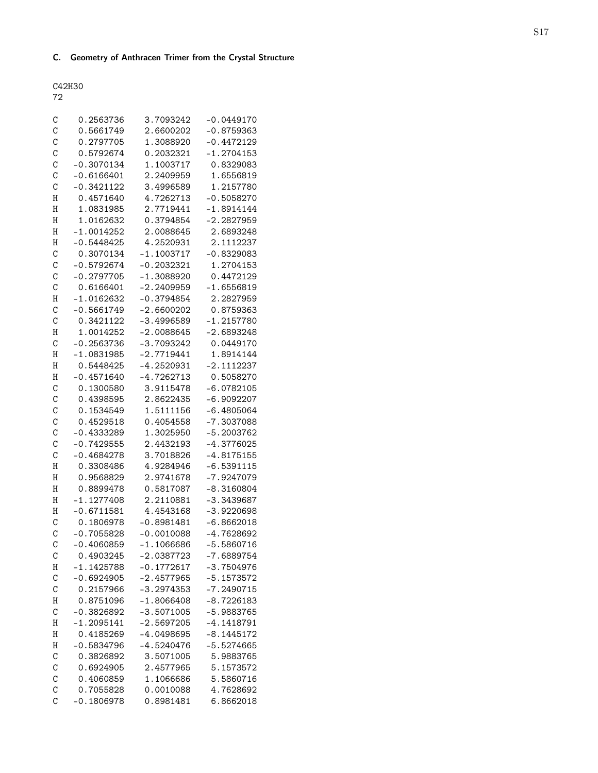# C. Geometry of Anthracen Trimer from the Crystal Structure

C42H30

|   | ×<br>I |
|---|--------|
| × | ٠      |

| С              | 0.2563736    | 3.7093242    | $-0.0449170$ |
|----------------|--------------|--------------|--------------|
| C              | 0.5661749    | 2.6600202    | $-0.8759363$ |
| C              | 0.2797705    | 1.3088920    | $-0.4472129$ |
| C              | 0.5792674    | 0.2032321    | $-1.2704153$ |
| C              | $-0.3070134$ | 1.1003717    | 0.8329083    |
| C              | $-0.6166401$ | 2.2409959    | 1.6556819    |
| C              | $-0.3421122$ | 3.4996589    | 1.2157780    |
| Η              | 0.4571640    | 4.7262713    | $-0.5058270$ |
| H              | 1.0831985    | 2.7719441    | $-1.8914144$ |
| Н              | 1.0162632    | 0.3794854    | $-2.2827959$ |
| H              | $-1.0014252$ | 2.0088645    | 2.6893248    |
| H              | $-0.5448425$ | 4.2520931    | 2.1112237    |
| $\mathcal{C}$  | 0.3070134    | $-1.1003717$ | $-0.8329083$ |
| C              | $-0.5792674$ | $-0.2032321$ | 1.2704153    |
| C              | $-0.2797705$ | $-1.3088920$ | 0.4472129    |
| C              | 0.6166401    | $-2.2409959$ | $-1.6556819$ |
| Η              | $-1.0162632$ | $-0.3794854$ | 2.2827959    |
| C              | $-0.5661749$ | $-2.6600202$ | 0.8759363    |
| C              | 0.3421122    | $-3.4996589$ | $-1.2157780$ |
| Η              | 1.0014252    | $-2.0088645$ | $-2.6893248$ |
| $\mathcal{C}$  | $-0.2563736$ | $-3.7093242$ | 0.0449170    |
| H              | $-1.0831985$ | $-2.7719441$ | 1.8914144    |
| H              | 0.5448425    | $-4.2520931$ | $-2.1112237$ |
| Н              | $-0.4571640$ | $-4.7262713$ | 0.5058270    |
| $\mathcal{C}$  | 0.1300580    | 3.9115478    | $-6.0782105$ |
| C              | 0.4398595    | 2.8622435    | $-6.9092207$ |
| $\mathcal{C}$  | 0.1534549    | 1.5111156    | $-6.4805064$ |
| C              | 0.4529518    | 0.4054558    | $-7.3037088$ |
| C              | $-0.4333289$ | 1.3025950    | $-5.2003762$ |
| $\mathcal{C}$  | $-0.7429555$ | 2.4432193    | $-4.3776025$ |
| $\mathcal{C}$  | $-0.4684278$ | 3.7018826    | $-4.8175155$ |
| Η              | 0.3308486    | 4.9284946    | $-6.5391115$ |
| H              | 0.9568829    | 2.9741678    | $-7.9247079$ |
| H              | 0.8899478    | 0.5817087    | $-8.3160804$ |
| H              | $-1.1277408$ | 2.2110881    | $-3.3439687$ |
| Н              | $-0.6711581$ | 4.4543168    | $-3.9220698$ |
| C              | 0.1806978    | $-0.8981481$ | $-6.8662018$ |
| $\mathcal{C}$  | $-0.7055828$ | $-0.0010088$ | $-4.7628692$ |
| C              | $-0.4060859$ | $-1.1066686$ | $-5.5860716$ |
| C              | 0.4903245    | $-2.0387723$ | $-7.6889754$ |
| Η              | $-1.1425788$ | $-0.1772617$ | $-3.7504976$ |
| $\mathbf C$    | $-0.6924905$ | $-2.4577965$ | $-5.1573572$ |
| $\mathcal{C}$  | 0.2157966    | $-3.2974353$ | $-7.2490715$ |
| Η              | 0.8751096    | $-1.8066408$ | $-8.7226183$ |
| $\mathcal{C}$  | $-0.3826892$ | $-3.5071005$ | $-5.9883765$ |
| Η              | $-1.2095141$ | $-2.5697205$ | $-4.1418791$ |
| H              | 0.4185269    | $-4.0498695$ | $-8.1445172$ |
| H              | $-0.5834796$ | $-4.5240476$ | $-5.5274665$ |
| $\mathcal{C}$  | 0.3826892    | 3.5071005    | 5.9883765    |
| $\mathcal{C}$  | 0.6924905    | 2.4577965    | 5.1573572    |
| C              | 0.4060859    | 1.1066686    | 5.5860716    |
| C              | 0.7055828    | 0.0010088    | 4.7628692    |
| $\overline{C}$ | $-0.1806978$ | 0.8981481    | 6.8662018    |
|                |              |              |              |